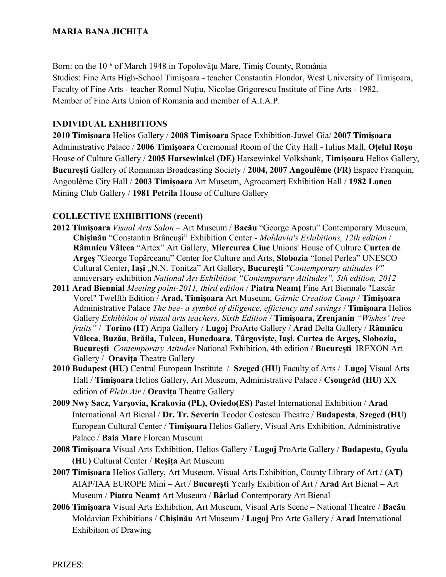Born: on the  $10<sup>th</sup>$  of March 1948 in Topolovătu Mare, Timis County, România Studies: Fine Arts High-School Timișoara - teacher Constantin Flondor, West University of Timișoara, Faculty of Fine Arts - teacher Romul Nuțiu, Nicolae Grigorescu Institute of Fine Arts - 1982. Member of Fine Arts Union of Romania and member of A.I.A.P.

## **INDIVIDUAL EXHIBITIONS**

**2010 Timișoara** Helios Gallery / **2008 Timișoara** Space Exhibition-Juwel Gia/ **2007 Timișoara** Administrative Palace / **2006 Timișoara** Ceremonial Room of the City Hall - Iulius Mall, **Oțelul Roșu**  House of Culture Gallery / **2005 Harsewinkel (DE)** Harsewinkel Volksbank, **Timișoara** Helios Gallery, **București** Gallery of Romanian Broadcasting Society / **2004, 2007 Angoulême (FR)** Espace Franquin, Angoulême City Hall / **2003 Timișoara** Art Museum, Agrocomerț Exhibition Hall / **1982 Lonea**  Mining Club Gallery / **1981 Petrila** House of Culture Gallery

## **COLLECTIVE EXHIBITIONS (recent)**

- **2012 Timișoara** *Visual Arts Salon* Art Museum / **Bacău** "George Apostu" Contemporary Museum, **Chișinău** "Constantin Brâncuși" Exhibition Center - *Moldavia's Exhibitions, 12th edition* / **Râmnicu Vâlcea** "Artex" Art Gallery, **Miercurea Ciuc** Unions' House of Culture **Curtea de Argeș** "George Topârceanu" Center for Culture and Arts, **Slobozia** "Ionel Perlea" UNESCO Cultural Center, Iași "N.N. Tonitza" Art Gallery, București "Contemporary attitudes V" anniversary exhibition *National Art Exhibition "Contemporary Attitudes", 5th edition, 2012*
- **2011 Arad Biennial** *Meeting point-2011, third edition* / **Piatra Neamţ** Fine Art Biennale "Lascăr Vorel" Twelfth Edition / **Arad, Timişoara** Art Museum, *Gârnic Creation Camp* / **Timişoara** Administrative Palace *The bee- a symbol of diligence, efficiency and savings* / **Timişoara** Helios Gallery *Exhibition of visual arts teachers, Sixth Edition* / **Timişoara, Zrenjanin** *"Wishes' tree fruits"* / **Torino (IT)** Aripa Gallery / **Lugoj** ProArte Gallery / **Arad** Delta Gallery / **Râmnicu Vâlcea**, **Buzău**, **Brăila, Tulcea, Hunedoara**, **Târgovişte, Iaşi**, **Curtea de Argeş, Slobozia, Bucureşti** *Contemporary Atitudes* National Exhibition, 4th edition / **Bucureşti** IREXON Art Gallery / **Oravita** Theatre Gallery
- **2010 Budapest (HU)** Central European Institute / **Szeged (HU)** Faculty of Arts / **Lugoj** Visual Arts Hall / **Timișoara** Helios Gallery, Art Museum, Administrative Palace / **Csongrád (HU)** XX edition of *Plein Air* / **Oravița** Theatre Gallery
- **2009 Nwy Sacz, Varșovia, Krakovia (PL), Oviedo(ES)** Pastel International Exhibition / **Arad** International Art Bienal / **Dr. Tr. Severin** Teodor Costescu Theatre / **Budapesta**, **Szeged (HU)** European Cultural Center / **Timișoara** Helios Gallery, Visual Arts Exhibition, Administrative Palace / **Baia Mare** Florean Museum
- **2008 Timișoara** Visual Arts Exhibition, Helios Gallery / **Lugoj** ProArte Gallery / **Budapesta**, **Gyula (HU)** Cultural Center / **Reșița** Art Museum
- **2007 Timișoara** Helios Gallery, Art Museum, Visual Arts Exhibition, County Library of Art / **(AT)** AIAP/IAA EUROPE Mini – Art / **București** Yearly Exibition of Art / **Arad** Art Bienal – Art Museum / **Piatra Neamț** Art Museum / **Bârlad** Contemporary Art Bienal
- **2006 Timișoara** Visual Arts Exhibition, Art Museum, Visual Arts Scene National Theatre / **Bacău** Moldavian Exhibitions / **Chișinău** Art Museum / **Lugoj** Pro Arte Gallery / **Arad** International Exhibition of Drawing